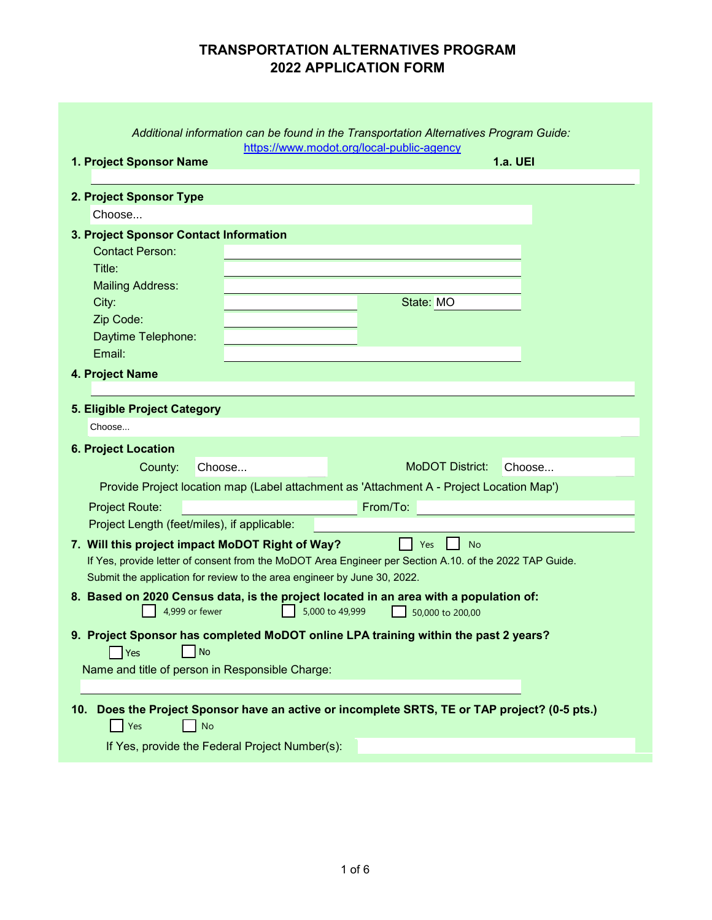# **TRANSPORTATION ALTERNATIVES PROGRAM 2022 APPLICATION FORM**

|                                                                          | Additional information can be found in the Transportation Alternatives Program Guide:<br>https://www.modot.org/local-public-agency |
|--------------------------------------------------------------------------|------------------------------------------------------------------------------------------------------------------------------------|
| 1. Project Sponsor Name                                                  | <b>1.a. UEI</b>                                                                                                                    |
|                                                                          |                                                                                                                                    |
| 2. Project Sponsor Type                                                  |                                                                                                                                    |
| Choose                                                                   |                                                                                                                                    |
| 3. Project Sponsor Contact Information                                   |                                                                                                                                    |
| <b>Contact Person:</b>                                                   |                                                                                                                                    |
| Title:                                                                   |                                                                                                                                    |
| <b>Mailing Address:</b><br>City:                                         | State: MO                                                                                                                          |
| Zip Code:                                                                |                                                                                                                                    |
| Daytime Telephone:                                                       |                                                                                                                                    |
| Email:                                                                   |                                                                                                                                    |
| 4. Project Name                                                          |                                                                                                                                    |
|                                                                          |                                                                                                                                    |
| 5. Eligible Project Category                                             |                                                                                                                                    |
| Choose                                                                   |                                                                                                                                    |
| <b>6. Project Location</b>                                               |                                                                                                                                    |
| County:<br>Choose                                                        | <b>MoDOT District:</b><br>Choose                                                                                                   |
|                                                                          | Provide Project location map (Label attachment as 'Attachment A - Project Location Map')                                           |
| <b>Project Route:</b>                                                    | From/To:                                                                                                                           |
| Project Length (feet/miles), if applicable:                              |                                                                                                                                    |
| 7. Will this project impact MoDOT Right of Way?                          | <b>No</b><br>Yes                                                                                                                   |
|                                                                          | If Yes, provide letter of consent from the MoDOT Area Engineer per Section A.10. of the 2022 TAP Guide.                            |
| Submit the application for review to the area engineer by June 30, 2022. |                                                                                                                                    |
|                                                                          | 8. Based on 2020 Census data, is the project located in an area with a population of:                                              |
| 4,999 or fewer                                                           | 5,000 to 49,999<br>50,000 to 200,00                                                                                                |
|                                                                          | 9. Project Sponsor has completed MoDOT online LPA training within the past 2 years?                                                |
| No<br>Yes                                                                |                                                                                                                                    |
| Name and title of person in Responsible Charge:                          |                                                                                                                                    |
|                                                                          |                                                                                                                                    |
| 10.                                                                      | Does the Project Sponsor have an active or incomplete SRTS, TE or TAP project? (0-5 pts.)                                          |
| Yes<br><b>No</b>                                                         |                                                                                                                                    |
| If Yes, provide the Federal Project Number(s):                           |                                                                                                                                    |
|                                                                          |                                                                                                                                    |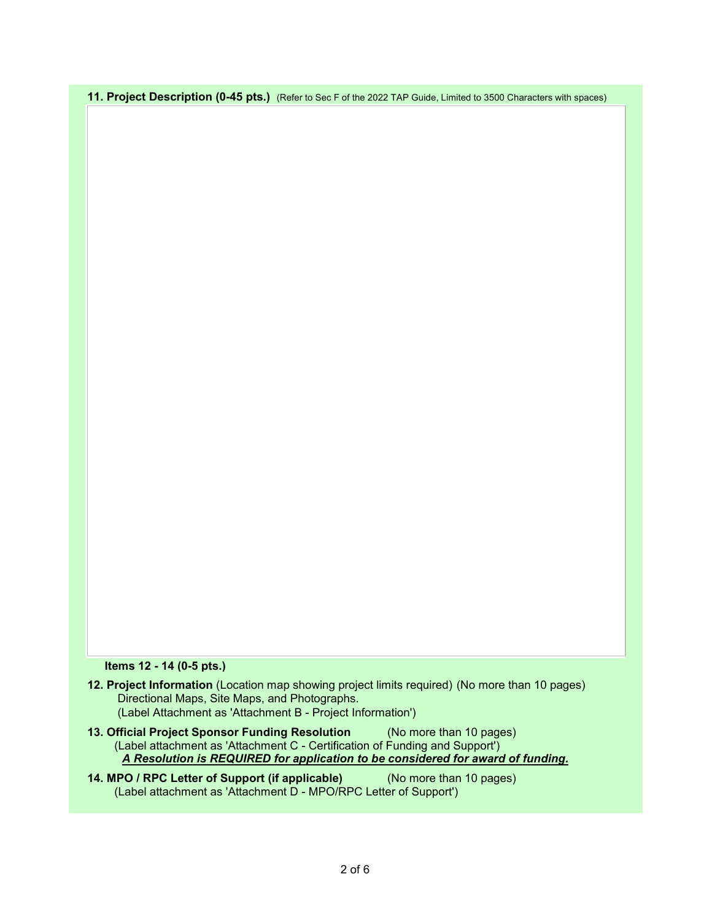**11. Project Description (0-45 pts.)** (Refer to Sec F of the 2022 TAP Guide, Limited to 3500 Characters with spaces)

## **Items 12 - 14 (0-5 pts.)**

| 12. Project Information (Location map showing project limits required) (No more than 10 pages) |  |
|------------------------------------------------------------------------------------------------|--|
| Directional Maps, Site Maps, and Photographs.                                                  |  |
| (Label Attachment as 'Attachment B - Project Information')                                     |  |

- **13. Official Project Sponsor Funding Resolution** (No more than 10 pages) *A Resolution is REQUIRED for application to be considered for award of funding.* (Label attachment as 'Attachment C - Certification of Funding and Support')
- **14. MPO / RPC Letter of Support (if applicable)** (No more than 10 pages) (Label attachment as 'Attachment D - MPO/RPC Letter of Support')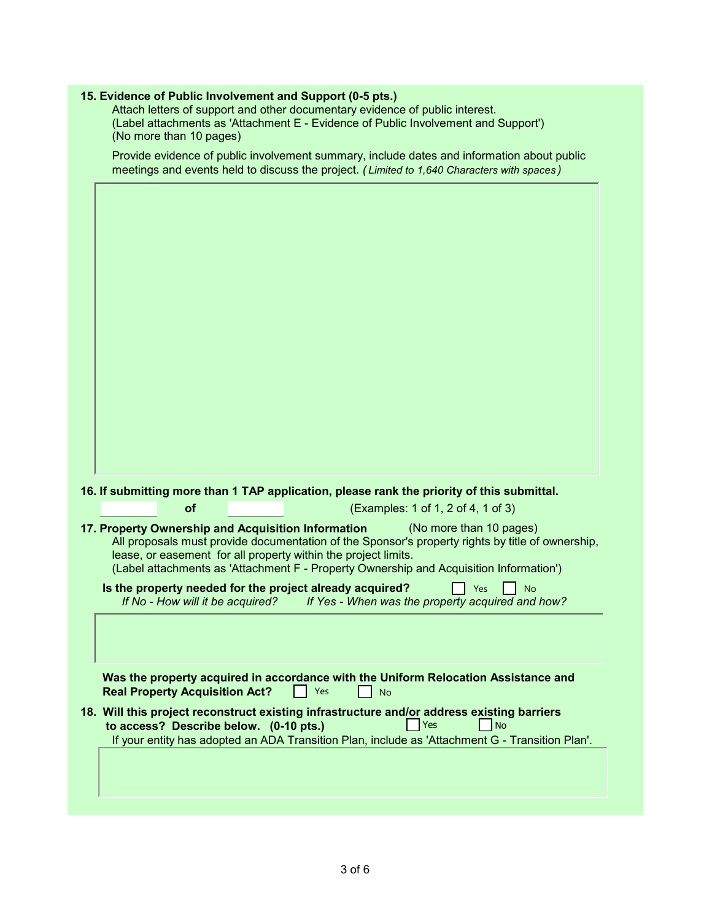| 15. Evidence of Public Involvement and Support (0-5 pts.)                                                                                                                                |
|------------------------------------------------------------------------------------------------------------------------------------------------------------------------------------------|
| Attach letters of support and other documentary evidence of public interest.<br>(Label attachments as 'Attachment E - Evidence of Public Involvement and Support')                       |
| (No more than 10 pages)                                                                                                                                                                  |
|                                                                                                                                                                                          |
| Provide evidence of public involvement summary, include dates and information about public<br>meetings and events held to discuss the project. (Limited to 1,640 Characters with spaces) |
|                                                                                                                                                                                          |
|                                                                                                                                                                                          |
|                                                                                                                                                                                          |
|                                                                                                                                                                                          |
|                                                                                                                                                                                          |
|                                                                                                                                                                                          |
|                                                                                                                                                                                          |
|                                                                                                                                                                                          |
|                                                                                                                                                                                          |
|                                                                                                                                                                                          |
|                                                                                                                                                                                          |
|                                                                                                                                                                                          |
|                                                                                                                                                                                          |
|                                                                                                                                                                                          |
|                                                                                                                                                                                          |
|                                                                                                                                                                                          |
|                                                                                                                                                                                          |
|                                                                                                                                                                                          |
|                                                                                                                                                                                          |
|                                                                                                                                                                                          |
|                                                                                                                                                                                          |
| 16. If submitting more than 1 TAP application, please rank the priority of this submittal.                                                                                               |
| (Examples: 1 of 1, 2 of 4, 1 of 3)<br>of                                                                                                                                                 |
| (No more than 10 pages)                                                                                                                                                                  |
| 17. Property Ownership and Acquisition Information<br>All proposals must provide documentation of the Sponsor's property rights by title of ownership,                                   |
| lease, or easement for all property within the project limits.                                                                                                                           |
| (Label attachments as 'Attachment F - Property Ownership and Acquisition Information')                                                                                                   |
| Is the property needed for the project already acquired?<br>Yes<br><b>No</b>                                                                                                             |
| If No - How will it be acquired?<br>If Yes - When was the property acquired and how?                                                                                                     |
|                                                                                                                                                                                          |
|                                                                                                                                                                                          |
|                                                                                                                                                                                          |
|                                                                                                                                                                                          |
| Was the property acquired in accordance with the Uniform Relocation Assistance and                                                                                                       |
| <b>Real Property Acquisition Act?</b><br>Yes<br><b>No</b>                                                                                                                                |
| 18. Will this project reconstruct existing infrastructure and/or address existing barriers                                                                                               |
| Yes<br>No<br>to access? Describe below. (0-10 pts.)                                                                                                                                      |
| If your entity has adopted an ADA Transition Plan, include as 'Attachment G - Transition Plan'.                                                                                          |
|                                                                                                                                                                                          |
|                                                                                                                                                                                          |
|                                                                                                                                                                                          |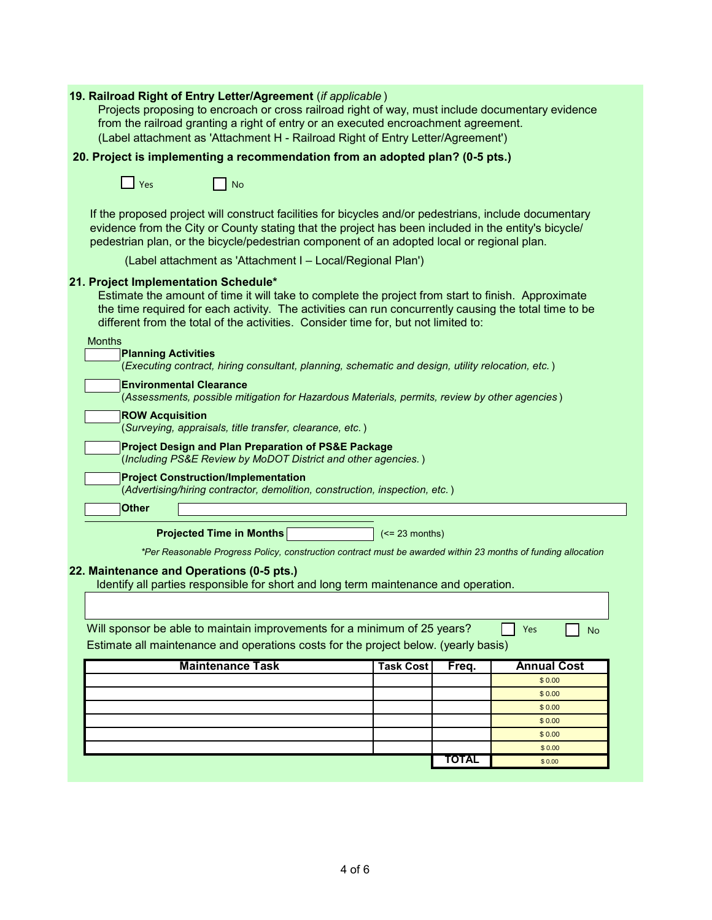| 19. Railroad Right of Entry Letter/Agreement (if applicable)<br>Projects proposing to encroach or cross railroad right of way, must include documentary evidence<br>from the railroad granting a right of entry or an executed encroachment agreement.<br>(Label attachment as 'Attachment H - Railroad Right of Entry Letter/Agreement') |                                                 |  |  |  |  |  |  |
|-------------------------------------------------------------------------------------------------------------------------------------------------------------------------------------------------------------------------------------------------------------------------------------------------------------------------------------------|-------------------------------------------------|--|--|--|--|--|--|
| 20. Project is implementing a recommendation from an adopted plan? (0-5 pts.)                                                                                                                                                                                                                                                             |                                                 |  |  |  |  |  |  |
| Yes<br>  No                                                                                                                                                                                                                                                                                                                               |                                                 |  |  |  |  |  |  |
| If the proposed project will construct facilities for bicycles and/or pedestrians, include documentary<br>evidence from the City or County stating that the project has been included in the entity's bicycle/<br>pedestrian plan, or the bicycle/pedestrian component of an adopted local or regional plan.                              |                                                 |  |  |  |  |  |  |
| (Label attachment as 'Attachment I - Local/Regional Plan')                                                                                                                                                                                                                                                                                |                                                 |  |  |  |  |  |  |
| 21. Project Implementation Schedule*<br>Estimate the amount of time it will take to complete the project from start to finish. Approximate<br>the time required for each activity. The activities can run concurrently causing the total time to be<br>different from the total of the activities. Consider time for, but not limited to: |                                                 |  |  |  |  |  |  |
| <b>Months</b><br><b>Planning Activities</b>                                                                                                                                                                                                                                                                                               |                                                 |  |  |  |  |  |  |
| (Executing contract, hiring consultant, planning, schematic and design, utility relocation, etc.)                                                                                                                                                                                                                                         |                                                 |  |  |  |  |  |  |
| <b>Environmental Clearance</b><br>(Assessments, possible mitigation for Hazardous Materials, permits, review by other agencies)                                                                                                                                                                                                           |                                                 |  |  |  |  |  |  |
| <b>ROW Acquisition</b>                                                                                                                                                                                                                                                                                                                    |                                                 |  |  |  |  |  |  |
| (Surveying, appraisals, title transfer, clearance, etc.)                                                                                                                                                                                                                                                                                  |                                                 |  |  |  |  |  |  |
| <b>Project Design and Plan Preparation of PS&amp;E Package</b><br>(Including PS&E Review by MoDOT District and other agencies.)                                                                                                                                                                                                           |                                                 |  |  |  |  |  |  |
| <b>Project Construction/Implementation</b><br>(Advertising/hiring contractor, demolition, construction, inspection, etc.)                                                                                                                                                                                                                 |                                                 |  |  |  |  |  |  |
| <b>Other</b>                                                                                                                                                                                                                                                                                                                              |                                                 |  |  |  |  |  |  |
| <b>Projected Time in Months</b><br>$(>= 23$ months)                                                                                                                                                                                                                                                                                       |                                                 |  |  |  |  |  |  |
|                                                                                                                                                                                                                                                                                                                                           |                                                 |  |  |  |  |  |  |
| *Per Reasonable Progress Policy, construction contract must be awarded within 23 months of funding allocation                                                                                                                                                                                                                             |                                                 |  |  |  |  |  |  |
| 22. Maintenance and Operations (0-5 pts.)                                                                                                                                                                                                                                                                                                 |                                                 |  |  |  |  |  |  |
| Identify all parties responsible for short and long term maintenance and operation.                                                                                                                                                                                                                                                       |                                                 |  |  |  |  |  |  |
|                                                                                                                                                                                                                                                                                                                                           |                                                 |  |  |  |  |  |  |
| Will sponsor be able to maintain improvements for a minimum of 25 years?<br>Yes<br><b>No</b>                                                                                                                                                                                                                                              |                                                 |  |  |  |  |  |  |
| Estimate all maintenance and operations costs for the project below. (yearly basis)                                                                                                                                                                                                                                                       |                                                 |  |  |  |  |  |  |
| <b>Maintenance Task</b>                                                                                                                                                                                                                                                                                                                   | <b>Annual Cost</b><br><b>Task Cost</b><br>Freq. |  |  |  |  |  |  |
|                                                                                                                                                                                                                                                                                                                                           | \$0.00                                          |  |  |  |  |  |  |
|                                                                                                                                                                                                                                                                                                                                           | \$0.00                                          |  |  |  |  |  |  |
|                                                                                                                                                                                                                                                                                                                                           | \$0.00                                          |  |  |  |  |  |  |
|                                                                                                                                                                                                                                                                                                                                           | \$0.00                                          |  |  |  |  |  |  |
|                                                                                                                                                                                                                                                                                                                                           | \$0.00<br>\$0.00                                |  |  |  |  |  |  |
|                                                                                                                                                                                                                                                                                                                                           | <b>TOTAL</b><br>\$0.00                          |  |  |  |  |  |  |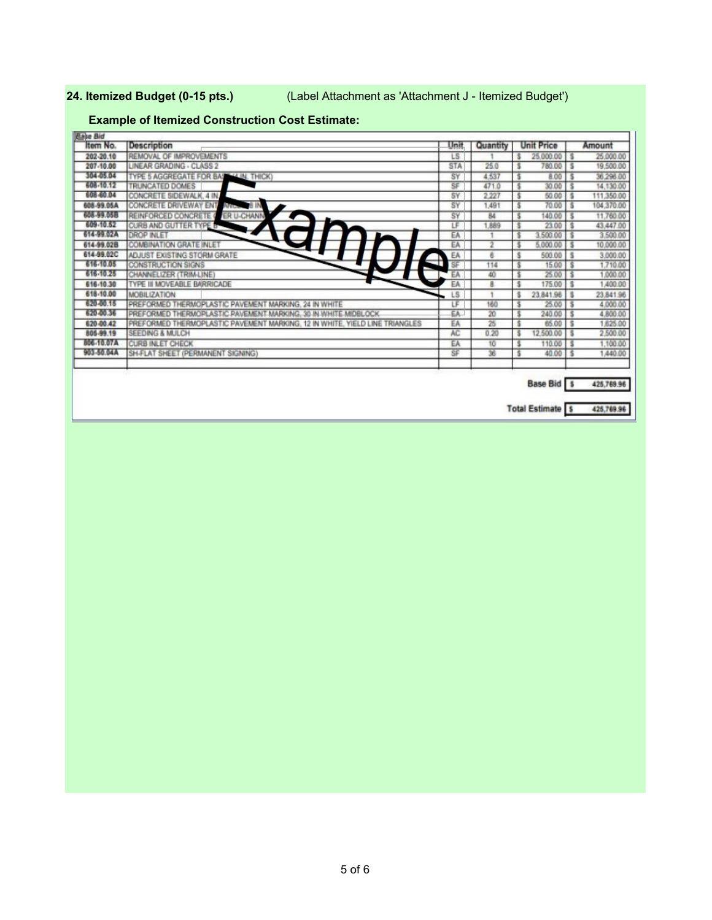**24. Itemized Budget (0-15 pts.)** (Label Attachment as 'Attachment J - Itemized Budget')

## **Example of Itemized Construction Cost Estimate:**

| Item No.          | <b>Description</b>                                                          | Unit           | Quantity | <b>Unit Price</b>          |     | Amount     |
|-------------------|-----------------------------------------------------------------------------|----------------|----------|----------------------------|-----|------------|
| 202-20.10         | REMOVAL OF IMPROVEMENTS                                                     | LS.            |          | 25,000.00                  |     | 25,000.00  |
| 207-10.00         | LINEAR GRADING - CLASS 2                                                    | <b>STA</b>     | 25.0     | 780.00                     |     | 19,500.00  |
| 304-05.04         | TYPE 5 AGGREGATE FOR BASE (4 IN: THICK)                                     | SY             | 4.537    | $8.00$ $\sqrt{5}$          |     | 36,298.00  |
| 608-10.12         | TRUNCATED DOMES                                                             | SF             | 471.0    | 30.00                      |     | 14,130.00  |
| 608-60.04         | CONCRETE SIDEWALK, 4 IN.                                                    | SY             | 2.227    | 50.00                      |     | 111,350.00 |
| 608-99.05A        | Arrow 8 IN<br>CONCRETE DRIVEWAY ENT                                         | SY             | 1,491    | $70.00$ $\frac{1}{5}$      |     | 104,370.00 |
| <b>608-99.06B</b> | ER U-CHANN<br>REINFORCED CONCRETE (                                         | SY             | 84       | 140.00                     |     | 11,760.00  |
| 609-10.52         | CURB AND GUTTER TYPE B                                                      | LF             | 1.889    | 23.00                      |     | 43,447.00  |
| 614-99.02A        | <b>DROP INLET</b>                                                           | EA             |          | 3,500.00                   |     | 3,500.00   |
| 614-99.02B        | <b>COMBINATION GRATE INLET</b>                                              | EA             | 2        | 5,000.00                   |     | 10,000.00  |
| 614-99.02C        | ADJUST EXISTING STORM GRATE                                                 | EA             | 8        | 500.00                     | Ιš  | 3,000.00   |
| 616-10.05         | <b>CONSTRUCTION SIGNS</b>                                                   | ÷<br>SF        | 114      | 15.00                      | l s | 1,710.00   |
| 616-10-25         | CHANNELIZER (TRIM-LINE)                                                     | EA             | 40       | 25.00                      |     | 1,000.00   |
| 616-10.30         | TYPE III MOVEABLE BARRICADE                                                 | EA             | 8        | 175.00 \$                  |     | 1,400.00   |
| 618-10.00         | MOBILIZATION                                                                | LS <sup></sup> |          | 23.841.96                  | Ιs  | 23,841.96  |
| 626-50.15         | PREFORMED THERMOPLASTIC PAVEMENT MARKING. 24 IN WHITE                       | ΙF             | 160      | 25.00                      |     | 4,000.00   |
| 620-00.36         | PREFORMED THERMOPLASTIC PAVEMENT MARKING, 30 IN WHITE MIDBLOCK              | EA.            | 20       | 240.00                     | Ιŝ  | 4,800.00   |
| 620-00.42         | PREFORMED THERMOPLASTIC PAVEMENT MARKING. 12 IN WHITE. YIELD LINE TRIANGLES | EA             | 26       | 65.00                      |     | 1,625.00   |
| 805-99.19         | <b>SEEDING &amp; MULCH</b>                                                  | AC             | 0.20     | 12,500.00                  |     | 2,500.00   |
| <b>SOC-10.07A</b> | <b>CURB INLET CHECK</b>                                                     | EA             | 10       | 110.00                     |     | 1,100.00   |
| 903-50.04A        | SH-FLAT SHEET (PERMANENT SIGNING)                                           | SF             | 36       | 40.00                      |     | 1,440.00   |
|                   |                                                                             |                |          | <b>Base Bid</b> \$         |     | 425,769.96 |
|                   |                                                                             |                |          |                            |     |            |
|                   |                                                                             |                |          | <b>Total Estimate   \$</b> |     | 425,769.96 |
|                   |                                                                             |                |          |                            |     |            |

5 of 6